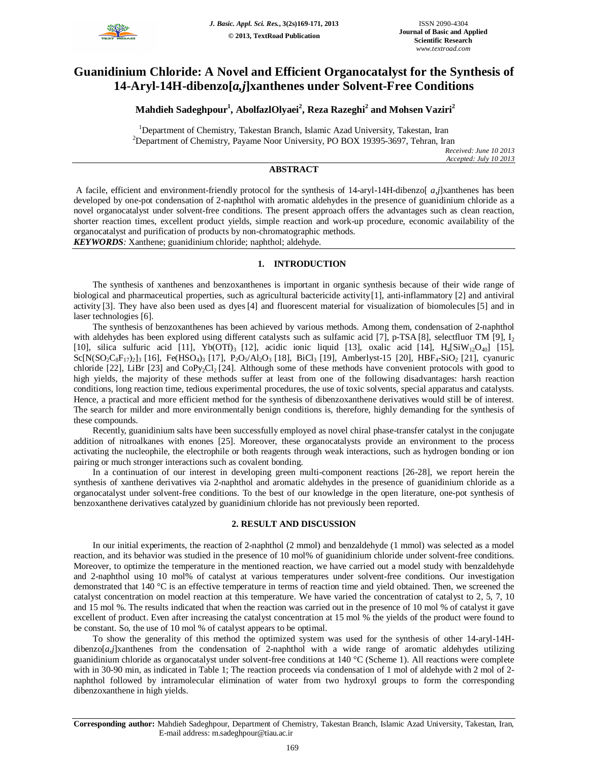

# **Guanidinium Chloride: A Novel and Efficient Organocatalyst for the Synthesis of 14-Aryl-14H-dibenzo[***a,j***]xanthenes under Solvent-Free Conditions**

## **Mahdieh Sadeghpour<sup>1</sup> , AbolfazlOlyaei<sup>2</sup> , Reza Razeghi<sup>2</sup> and Mohsen Vaziri<sup>2</sup>**

<sup>1</sup>Department of Chemistry, Takestan Branch, Islamic Azad University, Takestan, Iran  $2^2$ Department of Chemistry, Payame Noor University, PO BOX 19395-3697, Tehran, Iran

*Received: June 10 2013 Accepted: July 10 2013*

## **ABSTRACT**

A facile, efficient and environment-friendly protocol for the synthesis of 14-aryl-14H-dibenzo[ *a,j*]xanthenes has been developed by one-pot condensation of 2-naphthol with aromatic aldehydes in the presence of guanidinium chloride as a novel organocatalyst under solvent-free conditions. The present approach offers the advantages such as clean reaction, shorter reaction times, excellent product yields, simple reaction and work-up procedure, economic availability of the organocatalyst and purification of products by non-chromatographic methods.

*KEYWORDS:* Xanthene; guanidinium chloride; naphthol; aldehyde.

#### **1. INTRODUCTION**

The synthesis of xanthenes and benzoxanthenes is important in organic synthesis because of their wide range of biological and pharmaceutical properties, such as agricultural bactericide activity[1], anti-inflammatory [2] and antiviral activity [3]. They have also been used as dyes[4] and fluorescent material for visualization of biomolecules[5] and in laser technologies [6].

The synthesis of benzoxanthenes has been achieved by various methods. Among them, condensation of 2-naphthol with aldehydes has been explored using different catalysts such as sulfamic acid [7], p-TSA [8], selectfluor TM [9],  $I_2$ [10], silica sulfuric acid [11], Yb(OTf)<sub>3</sub> [12], acidic ionic liquid [13], oxalic acid [14], H<sub>4</sub>[SiW<sub>12</sub>O<sub>40</sub>] [15],  $Sc[N(SO_2C_8F_{17})_2]$ <sub>3</sub> [16], Fe(HSO<sub>4</sub>)<sub>3</sub> [17], P<sub>2</sub>O<sub>5</sub>/Al<sub>2</sub>O<sub>3</sub> [18], BiCl<sub>3</sub> [19], Amberlyst-15 [20], HBF<sub>4</sub>-SiO<sub>2</sub> [21], cyanuric chloride [22], LiBr [23] and CoPy<sub>2</sub>Cl<sub>2</sub> [24]. Although some of these methods have convenient protocols with good to high yields, the majority of these methods suffer at least from one of the following disadvantages: harsh reaction conditions, long reaction time, tedious experimental procedures, the use of toxic solvents, special apparatus and catalysts. Hence, a practical and more efficient method for the synthesis of dibenzoxanthene derivatives would still be of interest. The search for milder and more environmentally benign conditions is, therefore, highly demanding for the synthesis of these compounds.

Recently, guanidinium salts have been successfully employed as novel chiral phase-transfer catalyst in the conjugate addition of nitroalkanes with enones [25]. Moreover, these organocatalysts provide an environment to the process activating the nucleophile, the electrophile or both reagents through weak interactions, such as hydrogen bonding or ion pairing or much stronger interactions such as covalent bonding.

In a continuation of our interest in developing green multi-component reactions [26-28], we report herein the synthesis of xanthene derivatives via 2-naphthol and aromatic aldehydes in the presence of guanidinium chloride as a organocatalyst under solvent-free conditions. To the best of our knowledge in the open literature, one-pot synthesis of benzoxanthene derivatives catalyzed by guanidinium chloride has not previously been reported.

### **2. RESULT AND DISCUSSION**

In our initial experiments, the reaction of 2-naphthol (2 mmol) and benzaldehyde (1 mmol) was selected as a model reaction, and its behavior was studied in the presence of 10 mol% of guanidinium chloride under solvent-free conditions. Moreover, to optimize the temperature in the mentioned reaction, we have carried out a model study with benzaldehyde and 2-naphthol using 10 mol% of catalyst at various temperatures under solvent-free conditions. Our investigation demonstrated that 140 °C is an effective temperature in terms of reaction time and yield obtained. Then, we screened the catalyst concentration on model reaction at this temperature. We have varied the concentration of catalyst to 2, 5, 7, 10 and 15 mol %. The results indicated that when the reaction was carried out in the presence of 10 mol % of catalyst it gave excellent of product. Even after increasing the catalyst concentration at 15 mol % the yields of the product were found to be constant. So, the use of 10 mol % of catalyst appears to be optimal.

To show the generality of this method the optimized system was used for the synthesis of other 14-aryl-14Hdibenzo[*a,j*]xanthenes from the condensation of 2-naphthol with a wide range of aromatic aldehydes utilizing guanidinium chloride as organocatalyst under solvent-free conditions at 140 °C (Scheme 1). All reactions were complete with in 30-90 min, as indicated in Table 1; The reaction proceeds via condensation of 1 mol of aldehyde with 2 mol of 2naphthol followed by intramolecular elimination of water from two hydroxyl groups to form the corresponding dibenzoxanthene in high yields.

**Corresponding author:** Mahdieh Sadeghpour, Department of Chemistry, Takestan Branch, Islamic Azad University, Takestan, Iran, E-mail address: m.sadeghpour@tiau.ac.ir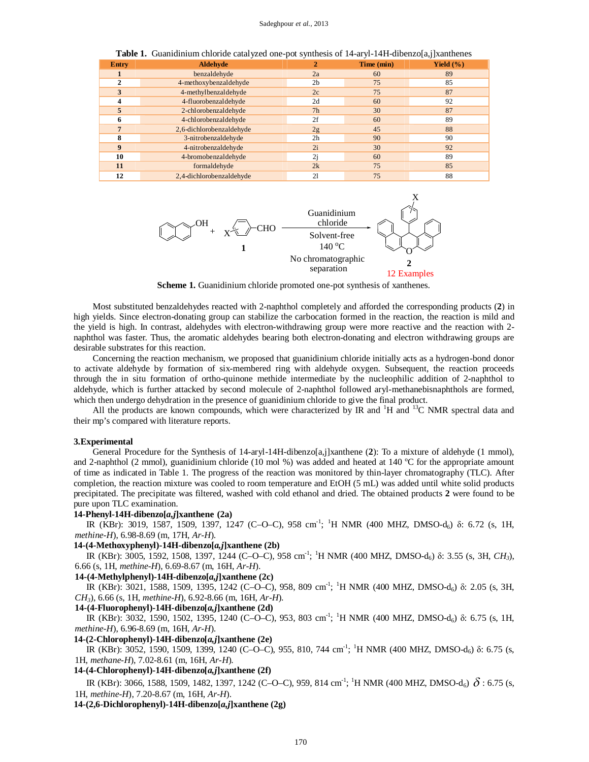| <b>Entry</b> | <b>Aldehyde</b>          |                | Time (min) | Yield $(\% )$ |
|--------------|--------------------------|----------------|------------|---------------|
|              | benzaldehyde             | 2a             | 60         | 89            |
|              | 4-methoxybenzaldehyde    | 2 <sub>b</sub> | 75         | 85            |
| 3            | 4-methylbenzaldehyde     | 2c             | 75         | 87            |
|              | 4-fluorobenzaldehyde     | 2d             | 60         | 92            |
|              | 2-chlorobenzaldehyde     | 7 <sub>h</sub> | 30         | 87            |
|              | 4-chlorobenzaldehyde     | 2f             | 60         | 89            |
|              | 2,6-dichlorobenzaldehyde | 2g             | 45         | 88            |
| 8            | 3-nitrobenzaldehyde      | 2 <sub>h</sub> | 90         | 90            |
| 9            | 4-nitrobenzaldehyde      | 2i             | 30         | 92            |
| 10           | 4-bromobenzaldehyde      | 2i             | 60         | 89            |
| 11           | formaldehyde             | 2k             | 75         | 85            |
| 12           | 2,4-dichlorobenzaldehyde | 21             | 75         | 88            |

**Table 1.** Guanidinium chloride catalyzed one-pot synthesis of 14-aryl-14H-dibenzo[a,j]xanthenes



**Scheme 1.** Guanidinium chloride promoted one-pot synthesis of xanthenes.

Most substituted benzaldehydes reacted with 2-naphthol completely and afforded the corresponding products (**2**) in high yields. Since electron-donating group can stabilize the carbocation formed in the reaction, the reaction is mild and the yield is high. In contrast, aldehydes with electron-withdrawing group were more reactive and the reaction with 2 naphthol was faster. Thus, the aromatic aldehydes bearing both electron-donating and electron withdrawing groups are desirable substrates for this reaction.

Concerning the reaction mechanism, we proposed that guanidinium chloride initially acts as a hydrogen-bond donor to activate aldehyde by formation of six-membered ring with aldehyde oxygen. Subsequent, the reaction proceeds through the in situ formation of ortho-quinone methide intermediate by the nucleophilic addition of 2-naphthol to aldehyde, which is further attacked by second molecule of 2-naphthol followed aryl-methanebisnaphthols are formed, which then undergo dehydration in the presence of guanidinium chloride to give the final product.

All the products are known compounds, which were characterized by IR and  ${}^{1}H$  and  ${}^{13}C$  NMR spectral data and their mp's compared with literature reports.

#### **3.Experimental**

General Procedure for the Synthesis of 14-aryl-14H-dibenzo[a,j]xanthene (**2**): To a mixture of aldehyde (1 mmol), and 2-naphthol (2 mmol), guanidinium chloride (10 mol %) was added and heated at 140  $^{\circ}$ C for the appropriate amount of time as indicated in Table 1. The progress of the reaction was monitored by thin-layer chromatography (TLC). After completion, the reaction mixture was cooled to room temperature and EtOH (5 mL) was added until white solid products precipitated. The precipitate was filtered, washed with cold ethanol and dried. The obtained products **2** were found to be pure upon TLC examination.

#### **14-Phenyl-14H-dibenzo[***a,j***]xanthene (2a)**

IR (KBr): 3019, 1587, 1509, 1397, 1247 (C–O–C), 958 cm<sup>-1</sup>; <sup>1</sup>H NMR (400 MHZ, DMSO-d<sub>6</sub>) δ: 6.72 (s, 1H, *methine-H*), 6.98-8.69 (m, 17H, *Ar-H*).

#### **14-(4-Methoxyphenyl)-14H-dibenzo[***a,j***]xanthene (2b)**

IR (KBr): 3005, 1592, 1508, 1397, 1244 (C–O–C), 958 cm<sup>-1</sup>; <sup>1</sup>H NMR (400 MHZ, DMSO-d<sub>6</sub>) δ: 3.55 (s, 3H, *CH<sub>3</sub>*), 6.66 (s, 1H, *methine-H*), 6.69-8.67 (m, 16H, *Ar-H*).

#### **14-(4-Methylphenyl)-14H-dibenzo[***a,j***]xanthene (2c)**

IR (KBr): 3021, 1588, 1509, 1395, 1242 (C–O–C), 958, 809 cm<sup>-1</sup>; <sup>1</sup>H NMR (400 MHZ, DMSO-d<sub>6</sub>) δ: 2.05 (s, 3H, *CH3*), 6.66 (s, 1H, *methine-H*), 6.92-8.66 (m, 16H, *Ar-H*).

#### **14-(4-Fluorophenyl)-14H-dibenzo[***a,j***]xanthene (2d)**

IR (KBr): 3032, 1590, 1502, 1395, 1240 (C–O–C), 953, 803 cm<sup>-1</sup>; <sup>1</sup>H NMR (400 MHZ, DMSO-d<sub>6</sub>) δ: 6.75 (s, 1H, *methine-H*), 6.96-8.69 (m, 16H, *Ar-H*).

#### **14-(2-Chlorophenyl)-14H-dibenzo[***a,j***]xanthene (2e)**

IR (KBr): 3052, 1590, 1509, 1399, 1240 (C–O–C), 955, 810, 744 cm<sup>-1</sup>; <sup>1</sup>H NMR (400 MHZ, DMSO-d<sub>6</sub>) δ: 6.75 (s, 1H, *methane-H*), 7.02-8.61 (m, 16H, *Ar-H*).

#### **14-(4-Chlorophenyl)-14H-dibenzo[***a,j***]xanthene (2f)**

IR (KBr): 3066, 1588, 1509, 1482, 1397, 1242 (C–O–C), 959, 814 cm<sup>-1</sup>; <sup>1</sup>H NMR (400 MHZ, DMSO-d<sub>6</sub>)  $\delta$  : 6.75 (s, 1H, *methine-H*), 7.20-8.67 (m, 16H, *Ar-H*).

 **14-(2,6-Dichlorophenyl)-14H-dibenzo[***a,j***]xanthene (2g)**